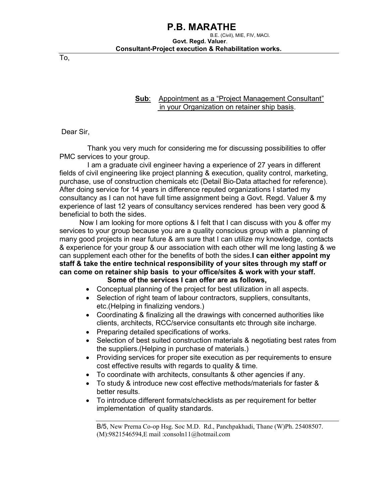To,

 Sub: Appointment as a "Project Management Consultant" in your Organization on retainer ship basis.

Dear Sir,

 Thank you very much for considering me for discussing possibilities to offer PMC services to your group.

 I am a graduate civil engineer having a experience of 27 years in different fields of civil engineering like project planning & execution, quality control, marketing, purchase, use of construction chemicals etc (Detail Bio-Data attached for reference). After doing service for 14 years in difference reputed organizations I started my consultancy as I can not have full time assignment being a Govt. Regd. Valuer & my experience of last 12 years of consultancy services rendered has been very good & beneficial to both the sides.

 Now I am looking for more options & I felt that I can discuss with you & offer my services to your group because you are a quality conscious group with a planning of many good projects in near future & am sure that I can utilize my knowledge, contacts & experience for your group & our association with each other will me long lasting & we can supplement each other for the benefits of both the sides. I can either appoint my staff & take the entire technical responsibility of your sites through my staff or can come on retainer ship basis to your office/sites & work with your staff. Some of the services I can offer are as follows,

- Conceptual planning of the project for best utilization in all aspects.
- Selection of right team of labour contractors, suppliers, consultants, etc.(Helping in finalizing vendors.)
- Coordinating & finalizing all the drawings with concerned authorities like clients, architects, RCC/service consultants etc through site incharge.
- Preparing detailed specifications of works.
- Selection of best suited construction materials & negotiating best rates from the suppliers.(Helping in purchase of materials.)
- Providing services for proper site execution as per requirements to ensure cost effective results with regards to quality & time.
- To coordinate with architects, consultants & other agencies if any.
- To study & introduce new cost effective methods/materials for faster & better results.
- To introduce different formats/checklists as per requirement for better implementation of quality standards.

B/5, New Prerna Co-op Hsg. Soc M.D. Rd., Panchpakhadi, Thane (W)Ph. 25408507. (M):9821546594,E mail :consoln11@hotmail.com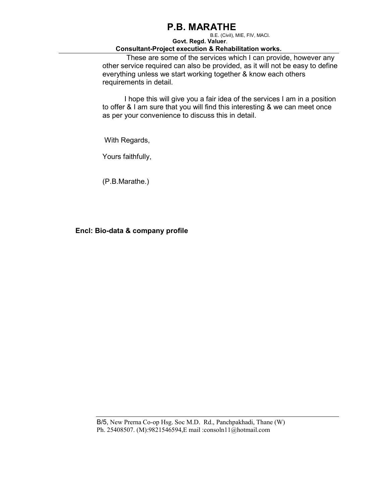## P.B. MARATHE

#### B.E. (Civil), MIE, FIV, MACI. Govt. Regd. Valuer. Consultant-Project execution & Rehabilitation works.

 These are some of the services which I can provide, however any other service required can also be provided, as it will not be easy to define everything unless we start working together & know each others requirements in detail.

 I hope this will give you a fair idea of the services I am in a position to offer & I am sure that you will find this interesting & we can meet once as per your convenience to discuss this in detail.

With Regards,

Yours faithfully,

(P.B.Marathe.)

### Encl: Bio-data & company profile

B/5, New Prerna Co-op Hsg. Soc M.D. Rd., Panchpakhadi, Thane (W) Ph. 25408507. (M):9821546594,E mail :consoln11@hotmail.com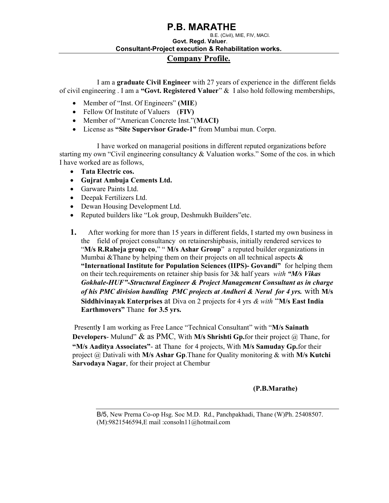## P.B. MARATHE

## B.E. (Civil), MIE, FIV, MACI. Govt. Regd. Valuer. Consultant-Project execution & Rehabilitation works.

Company Profile.

 I am a graduate Civil Engineer with 27 years of experience in the different fields of civil engineering . I am a "Govt. Registered Valuer"  $&$  I also hold following memberships,

- Member of "Inst. Of Engineers" (MIE)
- Fellow Of Institute of Valuers (FIV)
- Member of "American Concrete Inst."(MACI)
- License as "Site Supervisor Grade-1" from Mumbai mun. Corpn.

 I have worked on managerial positions in different reputed organizations before starting my own "Civil engineering consultancy & Valuation works." Some of the cos. in which I have worked are as follows,

- Tata Electric cos.
- Gujrat Ambuja Cements Ltd.
- Garware Paints Ltd.
- Deepak Fertilizers Ltd.
- Dewan Housing Development Ltd.
- Reputed builders like "Lok group, Deshmukh Builders"etc.
- 1. After working for more than 15 years in different fields, I started my own business in the field of project consultancy on retainershipbasis, initially rendered services to "M/s R.Raheja group co," "M/s Ashar Group" a reputed builder organizations in Mumbai & Thane by helping them on their projects on all technical aspects  $\&$ "International Institute for Population Sciences (IIPS)- Govandi" for helping them on their tech. requirements on retainer ship basis for  $3\&$  half years with "M/s Vikas" Gokhale-HUF"-Structural Engineer & Project Management Consultant as in charge of his PMC division handling PMC projects at Andheri & Nerul for 4 yrs. with  $M/s$ Siddhivinayak Enterprises at Diva on 2 projects for 4 yrs  $\&$  with "M/s East India" Earthmovers" Thane for 3.5 yrs.

Presently I am working as Free Lance "Technical Consultant" with "M/s Sainath **Developers-** Mulund" & as PMC, With M/s Shrishti Gp.for their project  $(a)$  Thane, for "M/s Aaditya Associates"- at Thane for 4 projects, With M/s Samuday Gp.for their project  $\hat{a}$  Dativali with M/s Ashar Gp. Thane for Quality monitoring & with M/s Kutchi Sarvodaya Nagar, for their project at Chembur

### (P.B.Marathe)

B/5, New Prerna Co-op Hsg. Soc M.D. Rd., Panchpakhadi, Thane (W)Ph. 25408507. (M):9821546594,E mail :consoln11@hotmail.com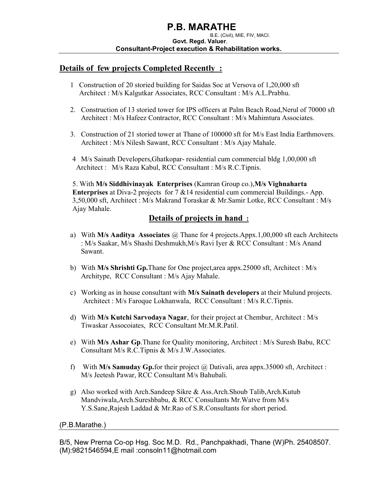### Details of few projects Completed Recently:

- 1 Construction of 20 storied building for Saidas Soc at Versova of 1,20,000 sft Architect : M/s Kalgutkar Associates, RCC Consultant : M/s A.L.Prabhu.
- 2. Construction of 13 storied tower for IPS officers at Palm Beach Road,Nerul of 70000 sft Architect : M/s Hafeez Contractor, RCC Consultant : M/s Mahimtura Associates.
- 3. Construction of 21 storied tower at Thane of 100000 sft for M/s East India Earthmovers. Architect : M/s Nilesh Sawant, RCC Consultant : M/s Ajay Mahale.
- 4 M/s Sainath Developers,Ghatkopar- residential cum commercial bldg 1,00,000 sft Architect : M/s Raza Kabul, RCC Consultant : M/s R.C.Tipnis.

5. With M/s Siddhivinayak Enterprises (Kamran Group co.),M/s Vighnaharta Enterprises at Diva-2 projects for 7 &14 residential cum commercial Buildings.- App. 3,50,000 sft, Architect : M/s Makrand Toraskar & Mr.Samir Lotke, RCC Consultant : M/s Ajay Mahale.

### Details of projects in hand :

- a) With M/s Aaditya Associates  $\omega$  Thane for 4 projects.Appx.1,00,000 sft each Architects : M/s Saakar, M/s Shashi Deshmukh,M/s Ravi Iyer & RCC Consultant : M/s Anand Sawant.
- b) With M/s Shrishti Gp.Thane for One project,area appx.25000 sft, Architect : M/s Architype, RCC Consultant : M/s Ajay Mahale.
- c) Working as in house consultant with M/s Sainath developers at their Mulund projects. Architect : M/s Faroque Lokhanwala, RCC Consultant : M/s R.C.Tipnis.
- d) With M/s Kutchi Sarvodaya Nagar, for their project at Chembur, Architect : M/s Tiwaskar Assocoiates, RCC Consultant Mr.M.R.Patil.
- e) With M/s Ashar Gp.Thane for Quality monitoring, Architect : M/s Suresh Babu, RCC Consultant M/s R.C.Tipnis & M/s J.W.Associates.
- f) With M/s Samuday Gp.for their project  $\omega$  Dativali, area appx.35000 sft, Architect : M/s Jeetesh Pawar, RCC Consultant M/s Bahubali.
- g) Also worked with Arch.Sandeep Sikre & Ass.Arch.Shoub Talib,Arch.Kutub Mandviwala,Arch.Sureshbabu, & RCC Consultants Mr.Watve from M/s Y.S.Sane,Rajesh Laddad & Mr.Rao of S.R.Consultants for short period.

#### (P.B.Marathe.)

B/5, New Prerna Co-op Hsg. Soc M.D. Rd., Panchpakhadi, Thane (W)Ph. 25408507. (M):9821546594,E mail :consoln11@hotmail.com